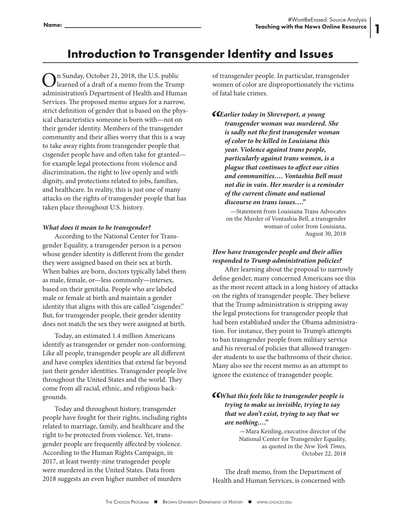1

## **Introduction to Transgender Identity and Issues**

In Sunday, October 21, 2018, the U.S. public learned of a draft of a memo from the Trump administration's Department of Health and Human Services. The proposed memo argues for a narrow, strict definition of gender that is based on the physical characteristics someone is born with—not on their gender identity. Members of the transgender community and their allies worry that this is a way to take away rights from transgender people that cisgender people have and often take for granted for example legal protections from violence and discrimination, the right to live openly and with dignity, and protections related to jobs, families, and healthcare. In reality, this is just one of many attacks on the rights of transgender people that has taken place throughout U.S. history.

## *What does it mean to be transgender?*

According to the National Center for Transgender Equality, a transgender person is a person whose gender identity is different from the gender they were assigned based on their sex at birth. When babies are born, doctors typically label them as male, female, or—less commonly—intersex, based on their genitalia. People who are labeled male or female at birth and maintain a gender identity that aligns with this are called "cisgender." But, for transgender people, their gender identity does not match the sex they were assigned at birth.

Today, an estimated 1.4 million Americans identify as transgender or gender non-conforming. Like all people, transgender people are all different and have complex identities that extend far beyond just their gender identities. Transgender people live throughout the United States and the world. They come from all racial, ethnic, and religious backgrounds.

Today and throughout history, transgender people have fought for their rights, including rights related to marriage, family, and healthcare and the right to be protected from violence. Yet, transgender people are frequently affected by violence. According to the Human Rights Campaign, in 2017, at least twenty-nine transgender people were murdered in the United States. Data from 2018 suggests an even higher number of murders

of transgender people. In particular, transgender women of color are disproportionately the victims of fatal hate crimes.

*"Earlier today in Shreveport, a young transgender woman was murdered. She is sadly not the first transgender woman of color to be killed in Louisiana this year. Violence against trans people, particularly against trans women, is a plague that continues to affect our cities and communities…. Vontashia Bell must not die in vain. Her murder is a reminder of the current climate and national discourse on trans issues…."*

—Statement from Louisiana Trans Advocates on the Murder of Vontashia Bell, a transgender woman of color from Louisiana, August 30, 2018

## *How have transgender people and their allies responded to Trump administration policies?*

After learning about the proposal to narrowly define gender, many concerned Americans see this as the most recent attack in a long history of attacks on the rights of transgender people. They believe that the Trump administration is stripping away the legal protections for transgender people that had been established under the Obama administration. For instance, they point to Trump's attempts to ban transgender people from military service and his reversal of policies that allowed transgender students to use the bathrooms of their choice. Many also see the recent memo as an attempt to ignore the existence of transgender people.

## *"What this feels like to transgender people is trying to make us invisible, trying to say that we don't exist, trying to say that we are nothing…."*

—Mara Keisling, executive director of the National Center for Transgender Equality, as quoted in the *New York Times*, October 22, 2018

The draft memo, from the Department of Health and Human Services, is concerned with